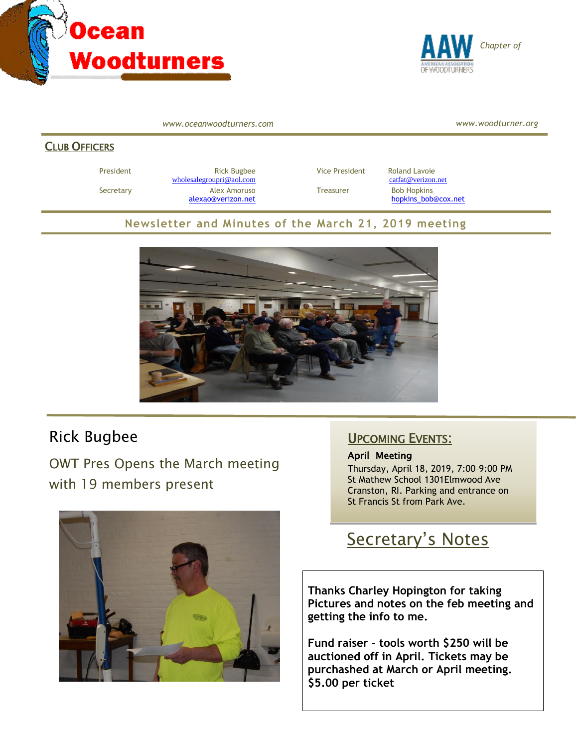



*www.oceanwoodturners.com*

*www.woodturner.org*

#### CLUB OFFICERS

President **Rick Bugbee Rick Bugbee** Vice President Roland Lavoie [wholesalegroupri@aol.com](mailto:wholesalegroupri@aol.com) [catfat@verizon.net](mailto:catfat@verizon.net) Secretary **Alex Amoruso** Treasurer Bob Hopkins

[alexao@verizon.net](mailto:alexao@verizon.net) [hopkins\\_bob@cox.net](mailto:hopkins_bob@cox.net)

#### **Newsletter and Minutes of the March 21, 2019 meeting**



# Rick Bugbee

OWT Pres Opens the March meeting with 19 members present



### UPCOMING EVENTS:

#### April Meeting

Thursday, April 18, 2019, 7:00–9:00 PM St Mathew School 1301Elmwood Ave Cranston, RI. Parking and entrance on St Francis St from Park Ave.

# Secretary's Notes

**Thanks Charley Hopington for taking Pictures and notes on the feb meeting and getting the info to me.**

**Fund raiser – tools worth \$250 will be auctioned off in April. Tickets may be purchashed at March or April meeting. \$5.00 per ticket**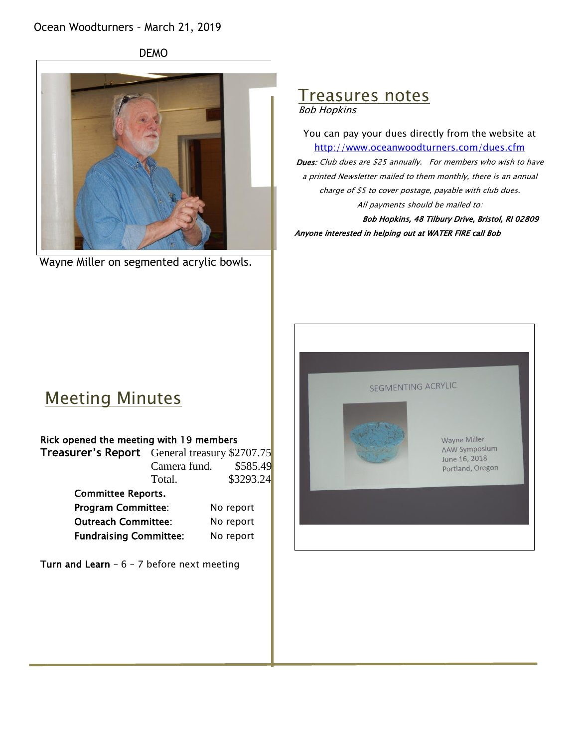### Ocean Woodturners – March 21, 2019

DEMO



Wayne Miller on segmented acrylic bowls.

#### Treasures notes Bob Hopkins

You can pay your dues directly from the website at <http://www.oceanwoodturners.com/dues.cfm> Dues: Club dues are \$25 annually. For members who wish to have a printed Newsletter mailed to them monthly, there is an annual charge of \$5 to cover postage, payable with club dues. All payments should be mailed to:

Bob Hopkins, 48 Tilbury Drive, Bristol, RI 02809 Anyone interested in helping out at WATER FIRE call Bob



# Meeting Minutes

#### Rick opened the meeting with 19 members

|                           | <b>Treasurer's Report</b> General treasury \$2707.75 |           |
|---------------------------|------------------------------------------------------|-----------|
|                           | Camera fund.                                         | \$585.49  |
|                           | Total.                                               | \$3293.24 |
| <b>Committee Reports.</b> |                                                      |           |
| <b>Program Committee:</b> |                                                      | No report |

Outreach Committee: No report Fundraising Committee: No report

Turn and Learn -  $6 - 7$  before next meeting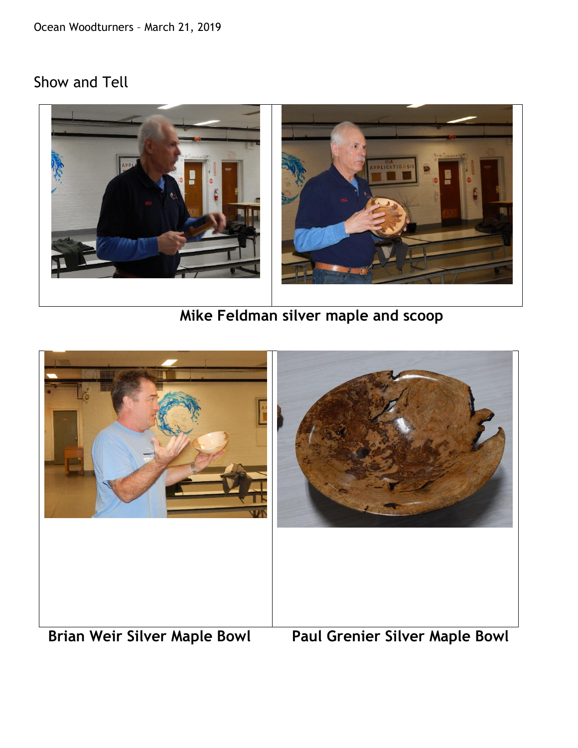Ocean Woodturners – March 21, 2019

# Show and Tell



 **Mike Feldman silver maple and scoop**